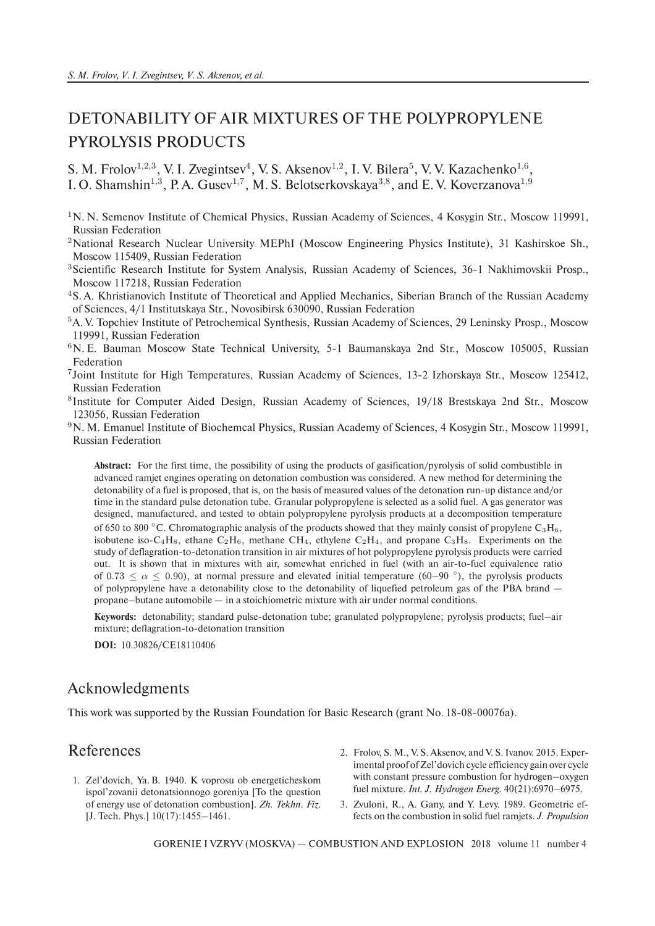## DETONABILITY OF AIR MIXTURES OF THE POLYPROPYLENE PYROLYSIS PRODUCTS

S. M. Frolov<sup>1,2,3</sup>, V. I. Zvegintsev<sup>4</sup>, V. S. Aksenov<sup>1,2</sup>, I. V. Bilera<sup>5</sup>, V. V. Kazachenko<sup>1,6</sup>, I. O. Shamshin<sup>1,3</sup>, P. A. Gusev<sup>1,7</sup>, M. S. Belotserkovskaya<sup>3,8</sup>, and E. V. Koverzanova<sup>1,9</sup>

- $1$ N. N. Semenov Institute of Chemical Physics, Russian Academy of Sciences, 4 Kosygin Str., Moscow 119991, Russian Federation
- <sup>2</sup>National Research Nuclear University MEPhI (Moscow Engineering Physics Institute), 31 Kashirskoe Sh., Moscow 115409, Russian Federation
- <sup>3</sup>Scientific Research Institute for System Analysis, Russian Academy of Sciences, 36-1 Nakhimovskii Prosp., Moscow 117218, Russian Federation
- <sup>4</sup>S. A. Khristianovich Institute of Theoretical and Applied Mechanics, Siberian Branch of the Russian Academy of Sciences, 4/1 Institutskaya Str., Novosibirsk 630090, Russian Federation
- <sup>5</sup>A. V. Topchiev Institute of Petrochemical Synthesis, Russian Academy of Sciences, 29 Leninsky Prosp., Moscow 119991, Russian Federation
- <sup>6</sup>N. E. Bauman Moscow State Technical University, 5-1 Baumanskaya 2nd Str., Moscow 105005, Russian Federation
- 7 Joint Institute for High Temperatures, Russian Academy of Sciences, 13-2 Izhorskaya Str., Moscow 125412, Russian Federation
- <sup>8</sup>Institute for Computer Aided Design, Russian Academy of Sciences, 19/18 Brestskaya 2nd Str., Moscow 123056, Russian Federation
- <sup>9</sup>N. M. Emanuel Institute of Biochemcal Physics, Russian Academy of Sciences, 4 Kosygin Str., Moscow 119991, Russian Federation

**Abstract:** For the first time, the possibility of using the products of gasification/pyrolysis of solid combustible in advanced ramjet engines operating on detonation combustion was considered. A new method for determining the detonability of a fuel is proposed, that is, on the basis of measured values of the detonation run-up distance and/or time in the standard pulse detonation tube. Granular polypropylene is selected as a solid fuel. A gas generator was designed, manufactured, and tested to obtain polypropylene pyrolysis products at a decomposition temperature of 650 to 800 °C. Chromatographic analysis of the products showed that they mainly consist of propylene  $C_3H_6$ , isobutene iso-C<sub>4</sub>H<sub>8</sub>, ethane C<sub>2</sub>H<sub>6</sub>, methane CH<sub>4</sub>, ethylene C<sub>2</sub>H<sub>4</sub>, and propane C<sub>3</sub>H<sub>8</sub>. Experiments on the study of deflagration-to-detonation transition in air mixtures of hot polypropylene pyrolysis products were carried out. It is shown that in mixtures with air, somewhat enriched in fuel (with an air-to-fuel equivalence ratio of 0.73  $\leq \alpha \leq$  0.90), at normal pressure and elevated initial temperature (60–90 °), the pyrolysis products of polypropylene have a detonability close to the detonability of liquefied petroleum gas of the PBA brand propane–butane automobile — in a stoichiometric mixture with air under normal conditions.

**Keywords:** detonability; standard pulse-detonation tube; granulated polypropylene; pyrolysis products; fuel–air mixture; deflagration-to-detonation transition

**DOI:** 10.30826/CE18110406

## Acknowledgments

This work was supported by the Russian Foundation for Basic Research (grant No. 18-08-00076а).

## References

- 1. Zel'dovich, Ya. B. 1940. K voprosu ob energeticheskom ispol'zovanii detonatsionnogo goreniya [To the question of energy use of detonation combustion]. *Zh. Tekhn. Fiz.* [J. Tech. Phys.] 10(17):1455–1461.
- 2. Frolov, S. M., V. S. Aksenov, and V. S. Ivanov. 2015. Experimental proof of Zel'dovich cycle efficiency gain over cycle with constant pressure combustion for hydrogen–oxygen fuel mixture. *Int. J. Hydrogen Energ.* 40(21):6970–6975.
- 3. Zvuloni, R., A. Gany, and Y. Levy. 1989. Geometric effects on the combustion in solid fuel ramjets. *J. Propulsion*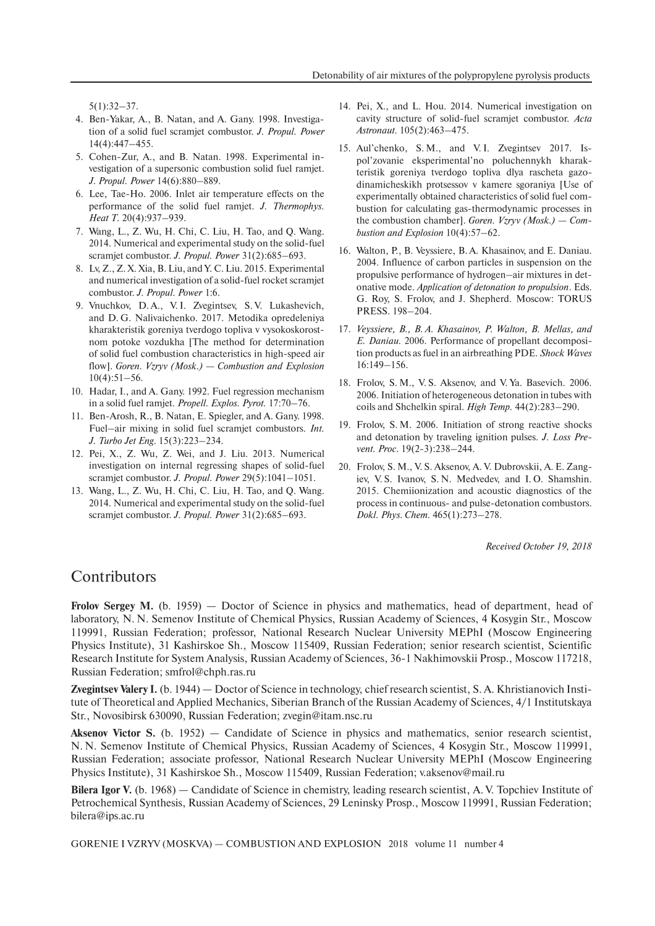5(1):32–37.

- 4. Ben-Yakar, A., B. Natan, and A. Gany. 1998. Investigation of a solid fuel scramjet combustor. *J. Propul. Power* 14(4):447–455.
- 5. Cohen-Zur, A., and B. Natan. 1998. Experimental investigation of a supersonic combustion solid fuel ramjet. *J. Propul. Power* 14(6):880–889.
- 6. Lee, Tae-Ho. 2006. Inlet air temperature effects on the performance of the solid fuel ramjet. *J. Thermophys. Heat T.* 20(4):937–939.
- 7. Wang, L., Z. Wu, H. Chi, C. Liu, H. Tao, and Q. Wang. 2014. Numerical and experimental study on the solid-fuel scramjet combustor. *J. Propul. Power* 31(2):685–693.
- 8. Lv, Z., Z. X. Xia, B. Liu, and Y. C. Liu. 2015. Experimental and numerical investigation of a solid-fuel rocket scramjet combustor. *J. Propul. Power* 1:6.
- 9. Vnuchkov, D.A., V.I. Zvegintsev, S.V. Lukashevich, and D. G. Nalivaichenko. 2017. Metodika opredeleniya kharakteristik goreniya tverdogo topliva v vysokoskorostnom potoke vozdukha [The method for determination of solid fuel combustion characteristics in high-speed air flow]. *Goren. Vzryv (Mosk.) — Combustion and Explosion* 10(4):51–56.
- 10. Hadar, I., and A. Gany. 1992. Fuel regression mechanism in a solid fuel ramjet. *Propell. Explos. Pyrot.* 17:70–76.
- 11. Ben-Arosh, R., B. Natan, E. Spiegler, and A. Gany. 1998. Fuel–air mixing in solid fuel scramjet combustors. *Int. J. Turbo Jet Eng.* 15(3):223–234.
- 12. Pei, X., Z. Wu, Z. Wei, and J. Liu. 2013. Numerical investigation on internal regressing shapes of solid-fuel scramjet combustor. *J. Propul. Power* 29(5):1041–1051.
- 13. Wang, L., Z. Wu, H. Chi, C. Liu, H. Tao, and Q. Wang. 2014. Numerical and experimental study on the solid-fuel scramjet combustor. *J. Propul. Power* 31(2):685–693.
- 14. Pei, X., and L. Hou. 2014. Numerical investigation on cavity structure of solid-fuel scramjet combustor. *Acta Astronaut.* 105(2):463–475.
- 15. Aul'chenko, S. M., and V. I. Zvegintsev 2017. Ispol'zovanie eksperimental'no poluchennykh kharakteristik goreniya tverdogo topliva dlya rascheta gazodinamicheskikh protsessov v kamere sgoraniya [Use of experimentally obtained characteristics of solid fuel combustion for calculating gas-thermodynamic processes in the combustion chamber]. *Goren. Vzryv (Mosk.) — Combustion and Explosion* 10(4):57–62.
- 16. Walton, P., B. Veyssiere, B. A. Khasainov, and E. Daniau. 2004. Influence of carbon particles in suspension on the propulsive performance of hydrogen–air mixtures in detonative mode. *Application of detonation to propulsion*. Eds. G. Roy, S. Frolov, and J. Shepherd. Moscow: TORUS PRESS. 198–204.
- 17. *Veyssiere, B., B. A. Khasainov, P. Walton, B. Mellas, and E. Daniau.* 2006. Performance of propellant decomposition products as fuel in an airbreathing PDE. *Shock Waves* 16:149–156.
- 18. Frolov, S. M., V. S. Aksenov, and V. Ya. Basevich. 2006. 2006. Initiation of heterogeneous detonation in tubes with coils and Shchelkin spiral. *High Temp.* 44(2):283–290.
- 19. Frolov, S. M. 2006. Initiation of strong reactive shocks and detonation by traveling ignition pulses. *J. Loss Prevent. Proc.* 19(2-3):238–244.
- 20. Frolov, S. M., V. S. Aksenov, A. V. Dubrovskii, A. E. Zangiev, V. S. Ivanov, S. N. Medvedev, and I. O. Shamshin. 2015. Chemiionization and acoustic diagnostics of the process in continuous- and pulse-detonation combustors. *Dokl. Phys. Chem.* 465(1):273–278.

*Received October 19, 2018*

## **Contributors**

Frolov Sergey M. (b. 1959) — Doctor of Science in physics and mathematics, head of department, head of laboratory, N. N. Semenov Institute of Chemical Physics, Russian Academy of Sciences, 4 Kosygin Str., Moscow 119991, Russian Federation; professor, National Research Nuclear University MEPhI (Moscow Engineering Physics Institute), 31 Kashirskoe Sh., Moscow 115409, Russian Federation; senior research scientist, Scientific Research Institute for System Analysis, Russian Academy of Sciences, 36-1 Nakhimovskii Prosp., Moscow 117218, Russian Federation; smfrol@chph.ras.ru

**Zvegintsev Valery I.** (b. 1944) — Doctor of Science in technology, chief research scientist, S. A. Khristianovich Institute of Theoretical and Applied Mechanics, Siberian Branch of the Russian Academy of Sciences, 4/1 Institutskaya Str., Novosibirsk 630090, Russian Federation; zvegin@itam.nsc.ru

**Aksenov Victor S.** (b. 1952) — Candidate of Science in physics and mathematics, senior research scientist, N. N. Semenov Institute of Chemical Physics, Russian Academy of Sciences, 4 Kosygin Str., Moscow 119991, Russian Federation; associate professor, National Research Nuclear University MEPhI (Moscow Engineering Physics Institute), 31 Kashirskoe Sh., Moscow 115409, Russian Federation; v.aksenov@mail.ru

**Bilera Igor V.** (b. 1968) — Candidate of Science in chemistry, leading research scientist, A. V. Topchiev Institute of Petrochemical Synthesis, Russian Academy of Sciences, 29 Leninsky Prosp., Moscow 119991, Russian Federation; bilera@ips.ac.ru

GORENIE I VZRYV (MOSKVA) — COMBUSTION AND EXPLOSION 2018 volume 11 number 4